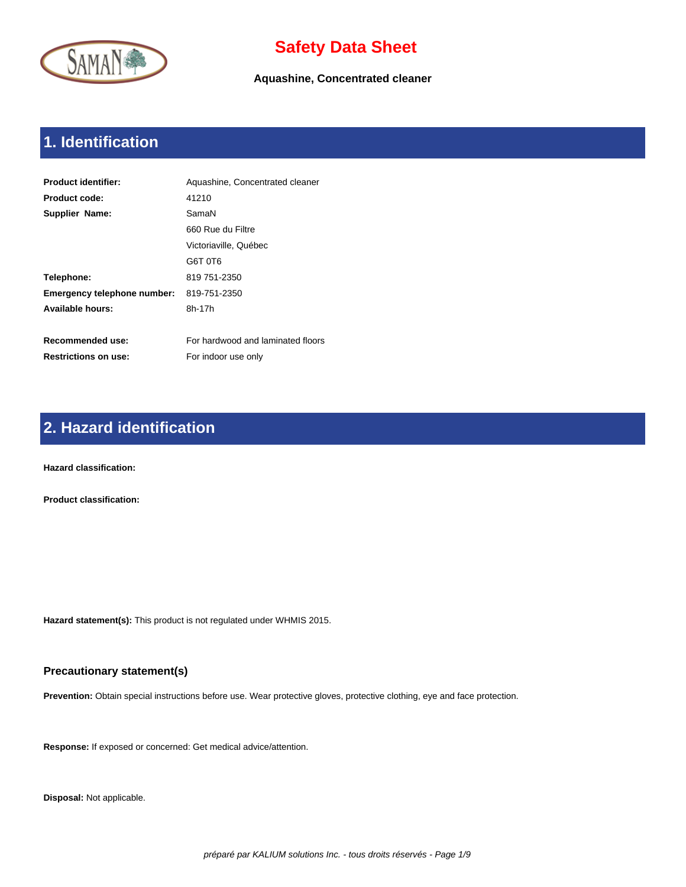

**Aquashine, Concentrated cleaner**

# **1. Identification**

| <b>Product identifier:</b>  | Aquashine, Concentrated cleaner   |
|-----------------------------|-----------------------------------|
| Product code:               | 41210                             |
| Supplier Name:              | SamaN                             |
|                             | 660 Rue du Filtre                 |
|                             | Victoriaville, Québec             |
|                             | G6T 0T6                           |
| Telephone:                  | 819 751-2350                      |
| Emergency telephone number: | 819-751-2350                      |
| Available hours:            | 8h-17h                            |
|                             |                                   |
| Recommended use:            | For hardwood and laminated floors |
| <b>Restrictions on use:</b> | For indoor use only               |

# **2. Hazard identification**

**Hazard classification:** 

**Product classification:** 

**Hazard statement(s):** This product is not regulated under WHMIS 2015.

### **Precautionary statement(s)**

**Prevention:** Obtain special instructions before use. Wear protective gloves, protective clothing, eye and face protection.

**Response:** If exposed or concerned: Get medical advice/attention.

**Disposal:** Not applicable.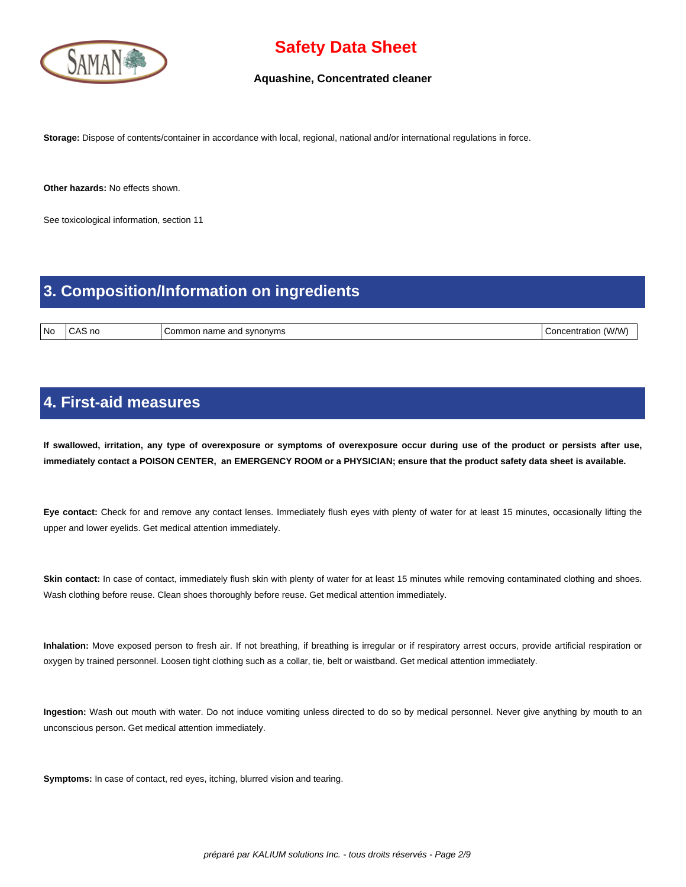

#### **Aquashine, Concentrated cleaner**

**Storage:** Dispose of contents/container in accordance with local, regional, national and/or international regulations in force.

**Other hazards:** No effects shown.

See toxicological information, section 11

### **3. Composition/Information on ingredients**

No CAS no Common name and synonyms Concentration (W/W)

### **4. First-aid measures**

 **If swallowed, irritation, any type of overexposure or symptoms of overexposure occur during use of the product or persists after use, immediately contact a POISON CENTER, an EMERGENCY ROOM or a PHYSICIAN; ensure that the product safety data sheet is available.**

**Eye contact:** Check for and remove any contact lenses. Immediately flush eyes with plenty of water for at least 15 minutes, occasionally lifting the upper and lower eyelids. Get medical attention immediately.

Skin contact: In case of contact, immediately flush skin with plenty of water for at least 15 minutes while removing contaminated clothing and shoes. Wash clothing before reuse. Clean shoes thoroughly before reuse. Get medical attention immediately.

**Inhalation:** Move exposed person to fresh air. If not breathing, if breathing is irregular or if respiratory arrest occurs, provide artificial respiration or oxygen by trained personnel. Loosen tight clothing such as a collar, tie, belt or waistband. Get medical attention immediately.

**Ingestion:** Wash out mouth with water. Do not induce vomiting unless directed to do so by medical personnel. Never give anything by mouth to an unconscious person. Get medical attention immediately.

**Symptoms:** In case of contact, red eyes, itching, blurred vision and tearing.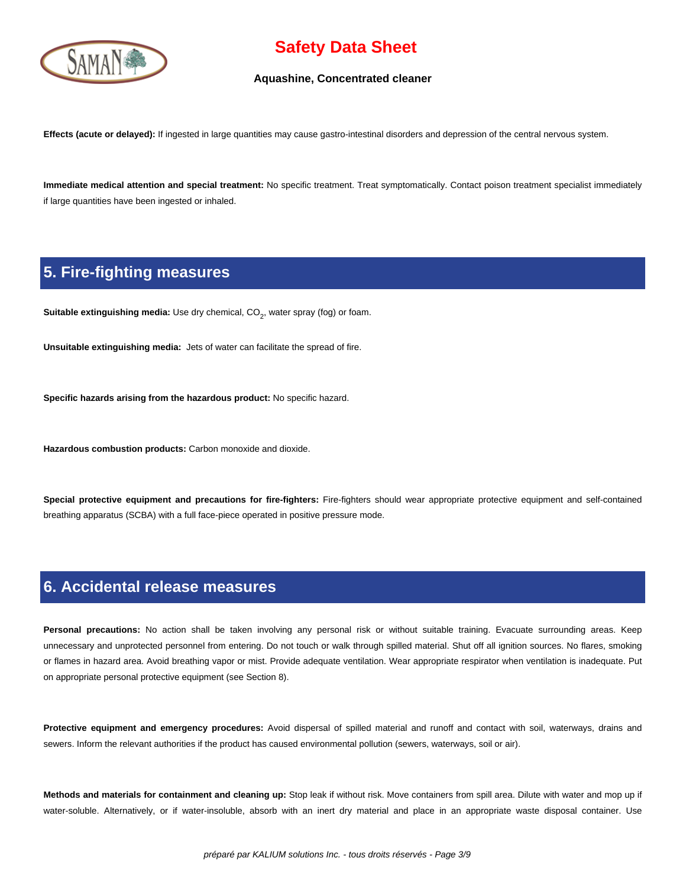

#### **Aquashine, Concentrated cleaner**

**Effects (acute or delayed):** If ingested in large quantities may cause gastro-intestinal disorders and depression of the central nervous system.

**Immediate medical attention and special treatment:** No specific treatment. Treat symptomatically. Contact poison treatment specialist immediately if large quantities have been ingested or inhaled.

### **5. Fire-fighting measures**

**Suitable extinguishing media:** Use dry chemical, CO<sub>2</sub>, water spray (fog) or foam.

**Unsuitable extinguishing media:** Jets of water can facilitate the spread of fire.

**Specific hazards arising from the hazardous product:** No specific hazard.

**Hazardous combustion products:** Carbon monoxide and dioxide.

**Special protective equipment and precautions for fire-fighters:** Fire-fighters should wear appropriate protective equipment and self-contained breathing apparatus (SCBA) with a full face-piece operated in positive pressure mode.

### **6. Accidental release measures**

Personal precautions: No action shall be taken involving any personal risk or without suitable training. Evacuate surrounding areas. Keep unnecessary and unprotected personnel from entering. Do not touch or walk through spilled material. Shut off all ignition sources. No flares, smoking or flames in hazard area. Avoid breathing vapor or mist. Provide adequate ventilation. Wear appropriate respirator when ventilation is inadequate. Put on appropriate personal protective equipment (see Section 8).

**Protective equipment and emergency procedures:** Avoid dispersal of spilled material and runoff and contact with soil, waterways, drains and sewers. Inform the relevant authorities if the product has caused environmental pollution (sewers, waterways, soil or air).

**Methods and materials for containment and cleaning up:** Stop leak if without risk. Move containers from spill area. Dilute with water and mop up if water-soluble. Alternatively, or if water-insoluble, absorb with an inert dry material and place in an appropriate waste disposal container. Use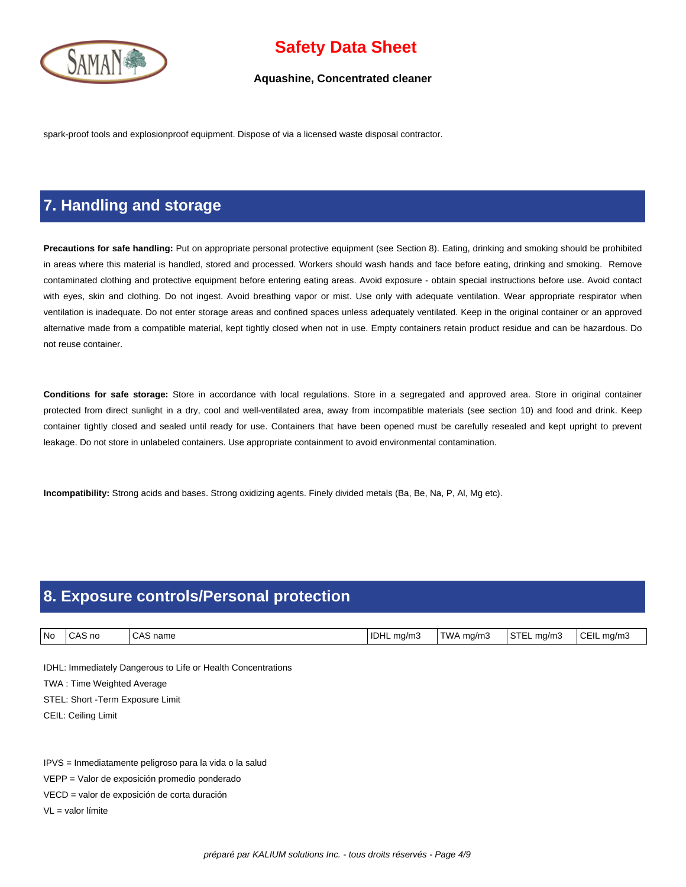

#### **Aquashine, Concentrated cleaner**

spark-proof tools and explosionproof equipment. Dispose of via a licensed waste disposal contractor.

## **7. Handling and storage**

**Precautions for safe handling:** Put on appropriate personal protective equipment (see Section 8). Eating, drinking and smoking should be prohibited in areas where this material is handled, stored and processed. Workers should wash hands and face before eating, drinking and smoking. Remove contaminated clothing and protective equipment before entering eating areas. Avoid exposure - obtain special instructions before use. Avoid contact with eyes, skin and clothing. Do not ingest. Avoid breathing vapor or mist. Use only with adequate ventilation. Wear appropriate respirator when ventilation is inadequate. Do not enter storage areas and confined spaces unless adequately ventilated. Keep in the original container or an approved alternative made from a compatible material, kept tightly closed when not in use. Empty containers retain product residue and can be hazardous. Do not reuse container.

**Conditions for safe storage:** Store in accordance with local regulations. Store in a segregated and approved area. Store in original container protected from direct sunlight in a dry, cool and well-ventilated area, away from incompatible materials (see section 10) and food and drink. Keep container tightly closed and sealed until ready for use. Containers that have been opened must be carefully resealed and kept upright to prevent leakage. Do not store in unlabeled containers. Use appropriate containment to avoid environmental contamination.

**Incompatibility:** Strong acids and bases. Strong oxidizing agents. Finely divided metals (Ba, Be, Na, P, Al, Mg etc).

# **8. Exposure controls/Personal protection**

| l No | AS no<br>$A^{\sim}$ | $\sim$<br>name<br>$\mathbf{A}$ | <sup>1</sup> IDHL<br>ma/m.<br>. . | TWA<br>ma/m. | $\sim$ Tr<br>ma/m.<br>5 I L | $\sim$ $ \cdot$<br>€C⊢II<br>ma/mသ |
|------|---------------------|--------------------------------|-----------------------------------|--------------|-----------------------------|-----------------------------------|

IDHL: Immediately Dangerous to Life or Health Concentrations

TWA : Time Weighted Average

STEL: Short -Term Exposure Limit

CEIL: Ceiling Limit

IPVS = Inmediatamente peligroso para la vida o la salud

VEPP = Valor de exposición promedio ponderado

VECD = valor de exposición de corta duración

VL = valor límite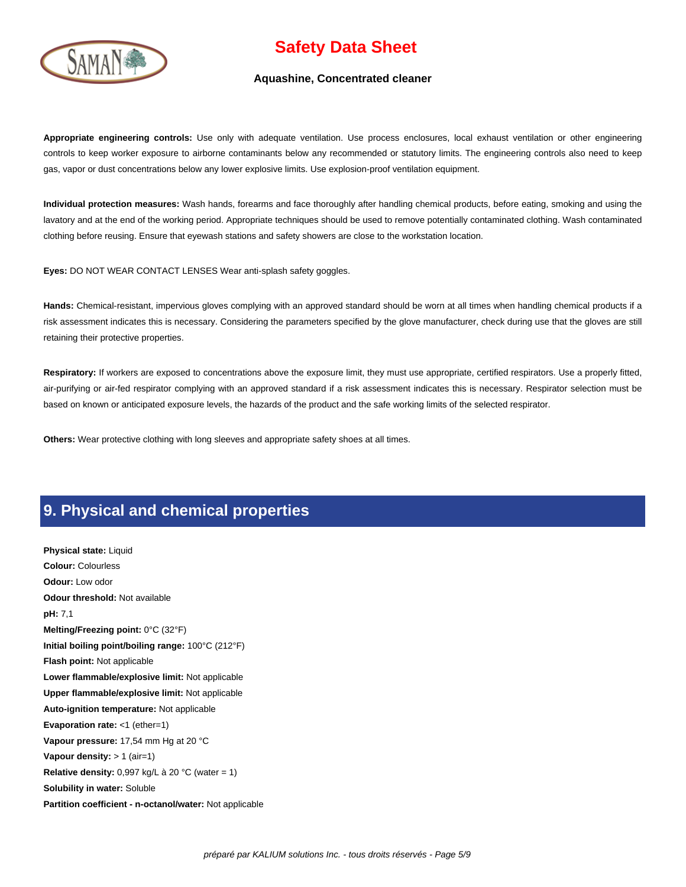

#### **Aquashine, Concentrated cleaner**

**Appropriate engineering controls:** Use only with adequate ventilation. Use process enclosures, local exhaust ventilation or other engineering controls to keep worker exposure to airborne contaminants below any recommended or statutory limits. The engineering controls also need to keep gas, vapor or dust concentrations below any lower explosive limits. Use explosion-proof ventilation equipment.

**Individual protection measures:** Wash hands, forearms and face thoroughly after handling chemical products, before eating, smoking and using the lavatory and at the end of the working period. Appropriate techniques should be used to remove potentially contaminated clothing. Wash contaminated clothing before reusing. Ensure that eyewash stations and safety showers are close to the workstation location.

**Eyes:** DO NOT WEAR CONTACT LENSES Wear anti-splash safety goggles.

**Hands:** Chemical-resistant, impervious gloves complying with an approved standard should be worn at all times when handling chemical products if a risk assessment indicates this is necessary. Considering the parameters specified by the glove manufacturer, check during use that the gloves are still retaining their protective properties.

Respiratory: If workers are exposed to concentrations above the exposure limit, they must use appropriate, certified respirators. Use a properly fitted, air-purifying or air-fed respirator complying with an approved standard if a risk assessment indicates this is necessary. Respirator selection must be based on known or anticipated exposure levels, the hazards of the product and the safe working limits of the selected respirator.

**Others:** Wear protective clothing with long sleeves and appropriate safety shoes at all times.

### **9. Physical and chemical properties**

**Physical state:** Liquid **Colour:** Colourless **Odour:** Low odor **Odour threshold:** Not available **pH:** 7,1 **Melting/Freezing point:** 0°C (32°F) **Initial boiling point/boiling range:** 100°C (212°F) **Flash point:** Not applicable **Lower flammable/explosive limit:** Not applicable **Upper flammable/explosive limit:** Not applicable **Auto-ignition temperature:** Not applicable **Evaporation rate:** <1 (ether=1) **Vapour pressure:** 17,54 mm Hg at 20 °C **Vapour density:** > 1 (air=1) **Relative density:** 0,997 kg/L à 20 °C (water = 1) **Solubility in water:** Soluble **Partition coefficient - n-octanol/water:** Not applicable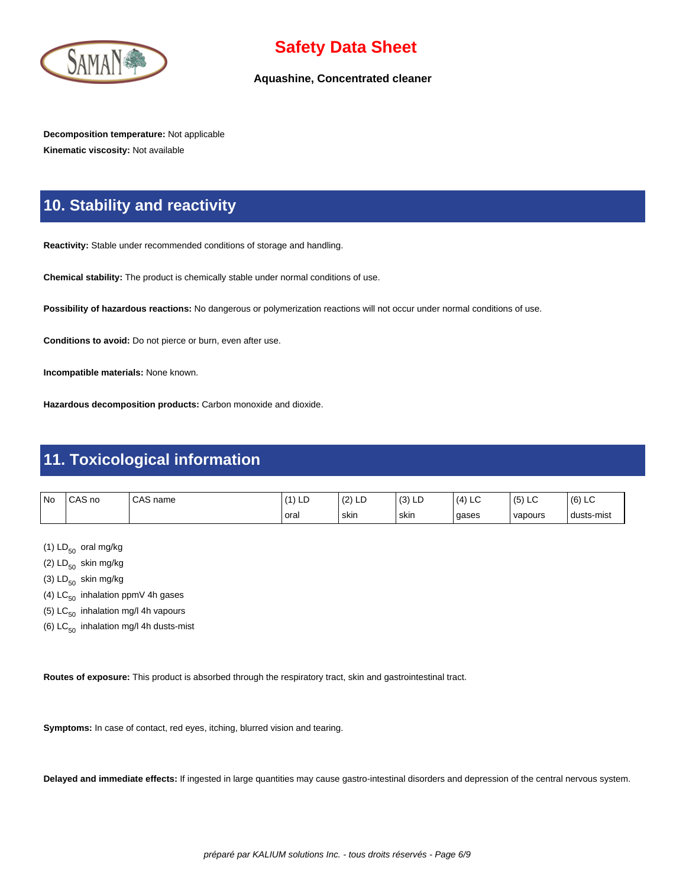

### **Aquashine, Concentrated cleaner**

**Decomposition temperature:** Not applicable **Kinematic viscosity:** Not available

## **10. Stability and reactivity**

**Reactivity:** Stable under recommended conditions of storage and handling.

**Chemical stability:** The product is chemically stable under normal conditions of use.

**Possibility of hazardous reactions:** No dangerous or polymerization reactions will not occur under normal conditions of use.

**Conditions to avoid:** Do not pierce or burn, even after use.

**Incompatible materials:** None known.

**Hazardous decomposition products:** Carbon monoxide and dioxide.

## **11. Toxicological information**

| <b>No</b> | CAS no | CAS<br>name | LD   | $\overline{\phantom{a}}$<br>$\sqrt{2}$<br>ᆸ<br>14 | (2)<br>131 LL | (4)<br>$\sim$<br>└ | $\sqrt{2}$<br>$\sim$<br>(5) LC | (6)<br>$\sim$<br>∟ບ |
|-----------|--------|-------------|------|---------------------------------------------------|---------------|--------------------|--------------------------------|---------------------|
|           |        |             | oral | ' skin                                            | ' skin        | gases              | vapours                        | dusts-mist          |

(1)  $LD_{50}$  oral mg/kg

(2)  $LD_{50}$  skin mg/kg

(3)  $LD_{50}$  skin mg/kg

- (4)  $LC_{50}$  inhalation ppmV 4h gases
- (5)  $LC_{50}$  inhalation mg/l 4h vapours
- (6)  $LC_{50}$  inhalation mg/l 4h dusts-mist

**Routes of exposure:** This product is absorbed through the respiratory tract, skin and gastrointestinal tract.

**Symptoms:** In case of contact, red eyes, itching, blurred vision and tearing.

**Delayed and immediate effects:** If ingested in large quantities may cause gastro-intestinal disorders and depression of the central nervous system.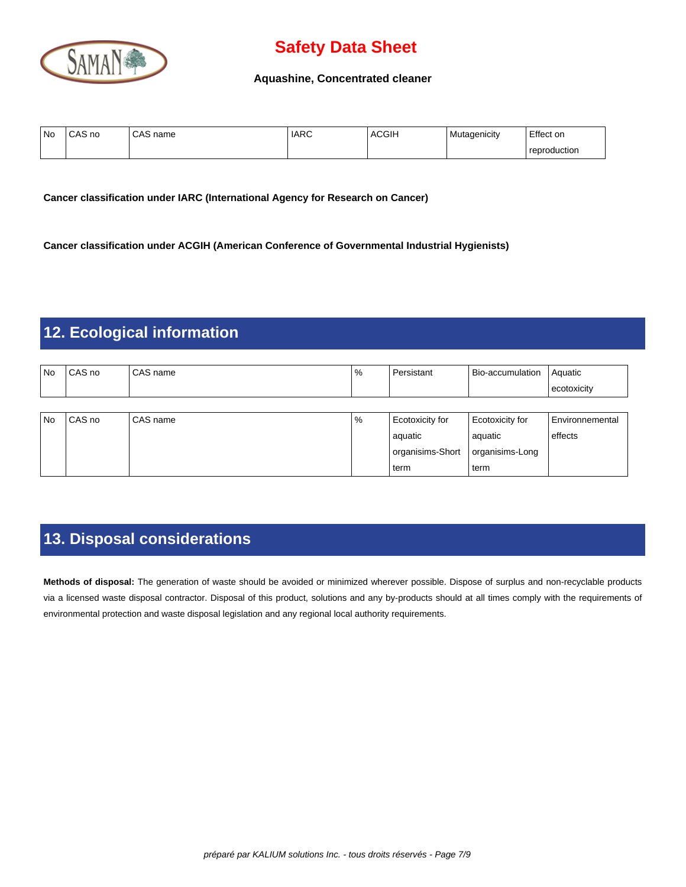

### **Aquashine, Concentrated cleaner**

| ' No | $\bigcap_{\alpha}$<br>CAS no | CAS<br>name | <b>IARC</b> | <b>ACGIH</b> | Mutagenicity | Effect on    |
|------|------------------------------|-------------|-------------|--------------|--------------|--------------|
|      |                              |             |             |              |              | reproduction |

**Cancer classification under IARC (International Agency for Research on Cancer)**

**Cancer classification under ACGIH (American Conference of Governmental Industrial Hygienists)**

# **12. Ecological information**

| l No | CAS no   | CAS name   | % | Persistant       | Bio-accumulation | Aquatic                |
|------|----------|------------|---|------------------|------------------|------------------------|
|      |          |            |   |                  |                  | ecotoxicity            |
|      |          |            |   |                  |                  |                        |
| l No | l CAS no | l CAS name | % | Ecotoxicity for  | Ecotoxicity for  | <b>Environnemental</b> |
|      |          |            |   | aquatic          | l aquatic        | effects                |
|      |          |            |   | organisims-Short | organisims-Long  |                        |
|      |          |            |   | term             | l term           |                        |

# **13. Disposal considerations**

**Methods of disposal:** The generation of waste should be avoided or minimized wherever possible. Dispose of surplus and non-recyclable products via a licensed waste disposal contractor. Disposal of this product, solutions and any by-products should at all times comply with the requirements of environmental protection and waste disposal legislation and any regional local authority requirements.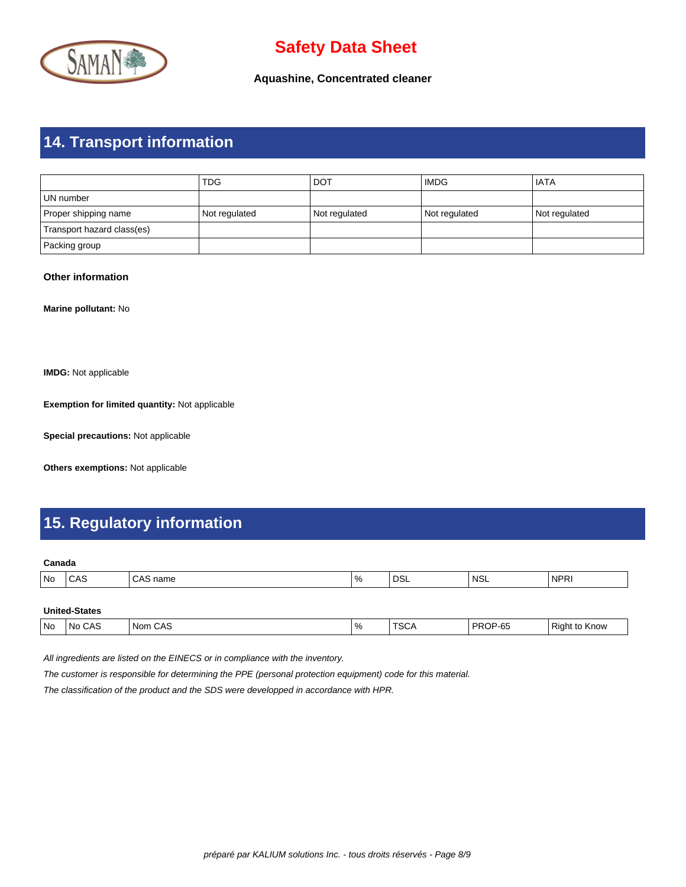

**Aquashine, Concentrated cleaner**

# **14. Transport information**

|                            | <b>TDG</b>    | <b>DOT</b>    | <b>IMDG</b>   | <b>IATA</b>   |
|----------------------------|---------------|---------------|---------------|---------------|
| l UN number                |               |               |               |               |
| Proper shipping name       | Not regulated | Not regulated | Not regulated | Not regulated |
| Transport hazard class(es) |               |               |               |               |
| Packing group              |               |               |               |               |

### **Other information**

**Marine pollutant:** No

**IMDG:** Not applicable

**Exemption for limited quantity:** Not applicable

**Special precautions:** Not applicable

**Others exemptions:** Not applicable

## **15. Regulatory information**

#### **Canada**

|  | No | しハご<br>__ | iallit<br>. | $\%$ | no.<br>∟סט ∙<br>____ | 'NSL | 'NPRI |
|--|----|-----------|-------------|------|----------------------|------|-------|
|--|----|-----------|-------------|------|----------------------|------|-------|

| <b>United-States</b> |
|----------------------|
|----------------------|

| PROP-65<br><b>TSCA</b><br>  No<br>$\sim$ 0.0<br>CAS<br>$^{\circ}$ O/<br>DĘ<br>ı Nom<br>N <sub>0</sub><br>Right<br>Know<br>CAS<br>70<br>w<br>. . |
|-------------------------------------------------------------------------------------------------------------------------------------------------|
|-------------------------------------------------------------------------------------------------------------------------------------------------|

All ingredients are listed on the EINECS or in compliance with the inventory.

The customer is responsible for determining the PPE (personal protection equipment) code for this material.

The classification of the product and the SDS were developped in accordance with HPR.